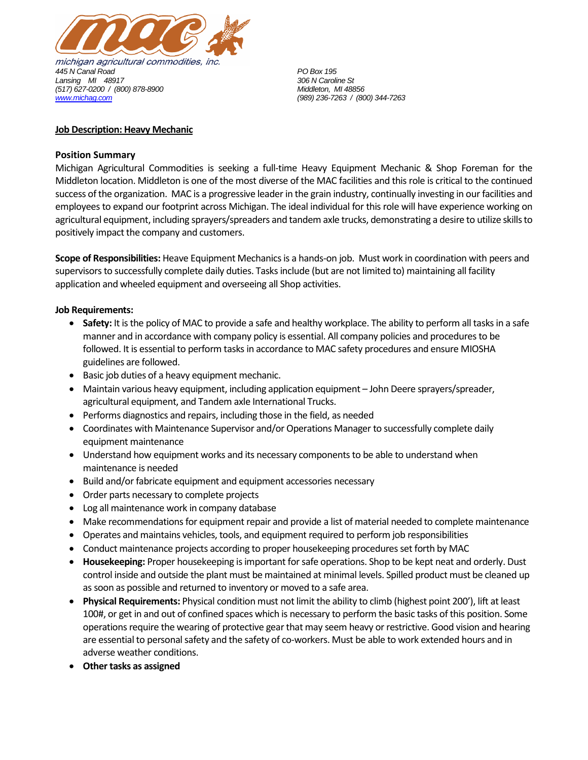

## **Job Description: Heavy Mechanic**

## **Position Summary**

Michigan Agricultural Commodities is seeking a full-time Heavy Equipment Mechanic & Shop Foreman for the Middleton location. Middleton is one of the most diverse of the MAC facilities and this role is critical to the continued success of the organization. MAC is a progressive leader in the grain industry, continually investing in our facilities and employees to expand our footprint across Michigan. The ideal individual for this role will have experience working on agricultural equipment, including sprayers/spreaders and tandem axle trucks, demonstrating a desire to utilize skills to positively impact the company and customers.

**Scope of Responsibilities:** Heave Equipment Mechanicsis a hands-on job. Must work in coordination with peers and supervisors to successfully complete daily duties. Tasks include (but are not limited to) maintaining all facility application and wheeled equipment and overseeing all Shop activities.

## **Job Requirements:**

- **Safety:** It is the policy of MAC to provide a safe and healthy workplace. The ability to perform all tasks in a safe manner and in accordance with company policy is essential. All company policies and procedures to be followed. It is essential to perform tasks in accordance to MAC safety procedures and ensure MIOSHA guidelines are followed.
- Basic job duties of a heavy equipment mechanic.
- Maintain various heavy equipment, including application equipment John Deere sprayers/spreader, agricultural equipment, and Tandem axle International Trucks.
- Performs diagnostics and repairs, including those in the field, as needed
- Coordinates with Maintenance Supervisor and/or Operations Manager to successfully complete daily equipment maintenance
- Understand how equipment works and its necessary components to be able to understand when maintenance is needed
- Build and/or fabricate equipment and equipment accessories necessary
- Order parts necessary to complete projects
- Log all maintenance work in company database
- Make recommendations for equipment repair and provide a list of material needed to complete maintenance
- Operates and maintains vehicles, tools, and equipment required to perform job responsibilities
- Conduct maintenance projects according to proper housekeeping procedures set forth by MAC
- **Housekeeping:** Proper housekeeping is important for safe operations. Shop to be kept neat and orderly. Dust control inside and outside the plant must be maintained at minimal levels. Spilled product must be cleaned up as soon as possible and returned to inventory or moved to a safe area.
- **Physical Requirements:** Physical condition must not limit the ability to climb (highest point 200'), lift at least 100#, or get in and out of confined spaces which is necessary to perform the basic tasks of this position. Some operations require the wearing of protective gear that may seem heavy or restrictive. Good vision and hearing are essential to personal safety and the safety of co-workers. Must be able to work extended hours and in adverse weather conditions.
- **Other tasks as assigned**